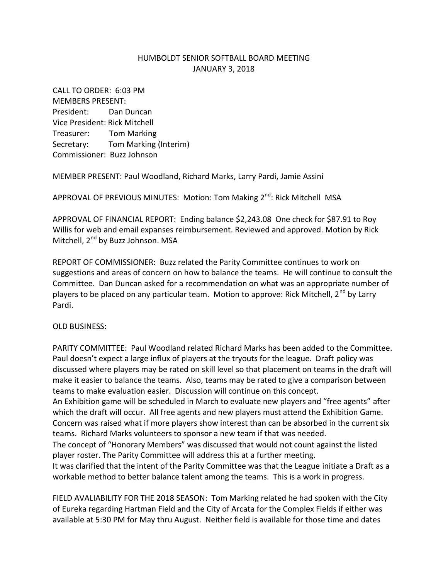## HUMBOLDT SENIOR SOFTBALL BOARD MEETING JANUARY 3, 2018

CALL TO ORDER: 6:03 PM MEMBERS PRESENT: President: Dan Duncan Vice President: Rick Mitchell Treasurer: Tom Marking Secretary: Tom Marking (Interim) Commissioner: Buzz Johnson

MEMBER PRESENT: Paul Woodland, Richard Marks, Larry Pardi, Jamie Assini

APPROVAL OF PREVIOUS MINUTES: Motion: Tom Making  $2^{nd}$ : Rick Mitchell MSA

APPROVAL OF FINANCIAL REPORT: Ending balance \$2,243.08 One check for \$87.91 to Roy Willis for web and email expanses reimbursement. Reviewed and approved. Motion by Rick Mitchell, 2<sup>nd</sup> by Buzz Johnson. MSA

REPORT OF COMMISSIONER: Buzz related the Parity Committee continues to work on suggestions and areas of concern on how to balance the teams. He will continue to consult the Committee. Dan Duncan asked for a recommendation on what was an appropriate number of players to be placed on any particular team. Motion to approve: Rick Mitchell, 2<sup>nd</sup> by Larry Pardi.

OLD BUSINESS:

PARITY COMMITTEE: Paul Woodland related Richard Marks has been added to the Committee. Paul doesn't expect a large influx of players at the tryouts for the league. Draft policy was discussed where players may be rated on skill level so that placement on teams in the draft will make it easier to balance the teams. Also, teams may be rated to give a comparison between teams to make evaluation easier. Discussion will continue on this concept. An Exhibition game will be scheduled in March to evaluate new players and "free agents" after which the draft will occur. All free agents and new players must attend the Exhibition Game. Concern was raised what if more players show interest than can be absorbed in the current six teams. Richard Marks volunteers to sponsor a new team if that was needed. The concept of "Honorary Members" was discussed that would not count against the listed player roster. The Parity Committee will address this at a further meeting. It was clarified that the intent of the Parity Committee was that the League initiate a Draft as a workable method to better balance talent among the teams. This is a work in progress.

FIELD AVALIABILITY FOR THE 2018 SEASON: Tom Marking related he had spoken with the City of Eureka regarding Hartman Field and the City of Arcata for the Complex Fields if either was available at 5:30 PM for May thru August. Neither field is available for those time and dates